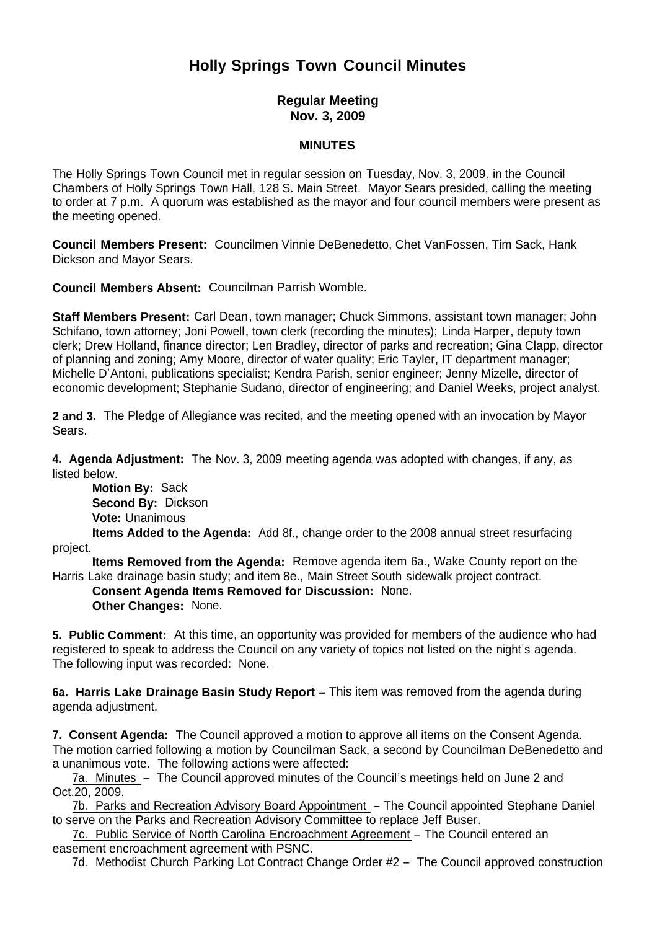## **Holly Springs Town Council Minutes**

## **Regular Meeting Nov. 3, 2009**

## **MINUTES**

The Holly Springs Town Council met in regular session on Tuesday, Nov. 3, 2009, in the Council Chambers of Holly Springs Town Hall, 128 S. Main Street. Mayor Sears presided, calling the meeting to order at 7 p.m. A quorum was established as the mayor and four council members were present as the meeting opened.

**Council Members Present:** Councilmen Vinnie DeBenedetto, Chet VanFossen, Tim Sack, Hank Dickson and Mayor Sears.

**Council Members Absent:** Councilman Parrish Womble.

**Staff Members Present:** Carl Dean, town manager; Chuck Simmons, assistant town manager; John Schifano, town attorney; Joni Powell, town clerk (recording the minutes); Linda Harper, deputy town clerk; Drew Holland, finance director; Len Bradley, director of parks and recreation; Gina Clapp, director of planning and zoning; Amy Moore, director of water quality; Eric Tayler, IT department manager; Michelle D'Antoni, publications specialist; Kendra Parish, senior engineer; Jenny Mizelle, director of economic development; Stephanie Sudano, director of engineering; and Daniel Weeks, project analyst.

**2 and 3.** The Pledge of Allegiance was recited, and the meeting opened with an invocation by Mayor Sears.

**4. Agenda Adjustment:** The Nov. 3, 2009 meeting agenda was adopted with changes, if any, as listed below.

**Motion By: Sack Second By:** Dickson **Vote:** Unanimous

 **Items Added to the Agenda:** Add 8f., change order to the 2008 annual street resurfacing project.

 **Items Removed from the Agenda:** Remove agenda item 6a., Wake County report on the Harris Lake drainage basin study; and item 8e., Main Street South sidewalk project contract.

**Consent Agenda Items Removed for Discussion:** None.

**Other Changes:** None.

**5. Public Comment:** At this time, an opportunity was provided for members of the audience who had registered to speak to address the Council on any variety of topics not listed on the night's agenda. The following input was recorded: None.

**6a. Harris Lake Drainage Basin Study Report –** This item was removed from the agenda during agenda adjustment.

**7. Consent Agenda:** The Council approved a motion to approve all items on the Consent Agenda. The motion carried following a motion by Councilman Sack, a second by Councilman DeBenedetto and a unanimous vote. The following actions were affected:

7a. Minutes – The Council approved minutes of the Council's meetings held on June 2 and Oct.20, 2009.

7b. Parks and Recreation Advisory Board Appointment – The Council appointed Stephane Daniel to serve on the Parks and Recreation Advisory Committee to replace Jeff Buser.

7c. Public Service of North Carolina Encroachment Agreement – The Council entered an easement encroachment agreement with PSNC.

7d. Methodist Church Parking Lot Contract Change Order #2 - The Council approved construction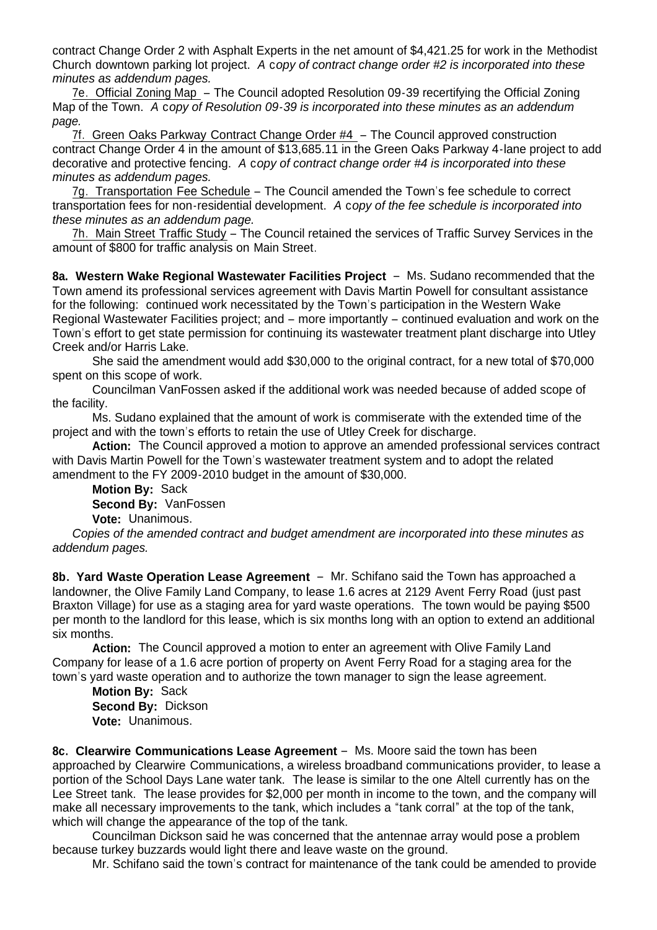contract Change Order 2 with Asphalt Experts in the net amount of \$4,421.25 for work in the Methodist Church downtown parking lot project. *A* c*opy of contract change order #2 is incorporated into these minutes as addendum pages.*

7e. Official Zoning Map – The Council adopted Resolution 09-39 recertifying the Official Zoning Map of the Town. *A* c*opy of Resolution 09-39 is incorporated into these minutes as an addendum page.*

7f. Green Oaks Parkway Contract Change Order #4 – The Council approved construction contract Change Order 4 in the amount of \$13,685.11 in the Green Oaks Parkway 4-lane project to add decorative and protective fencing. *A* c*opy of contract change order #4 is incorporated into these minutes as addendum pages.*

7g. Transportation Fee Schedule – The Council amended the Town's fee schedule to correct transportation fees for non-residential development. *A* c*opy of the fee schedule is incorporated into these minutes as an addendum page.*

7h. Main Street Traffic Study – The Council retained the services of Traffic Survey Services in the amount of \$800 for traffic analysis on Main Street.

**8a. Western Wake Regional Wastewater Facilities Project** – Ms. Sudano recommended that the Town amend its professional services agreement with Davis Martin Powell for consultant assistance for the following: continued work necessitated by the Town's participation in the Western Wake Regional Wastewater Facilities project; and – more importantly – continued evaluation and work on the Town's effort to get state permission for continuing its wastewater treatment plant discharge into Utley Creek and/or Harris Lake.

 She said the amendment would add \$30,000 to the original contract, for a new total of \$70,000 spent on this scope of work.

 Councilman VanFossen asked if the additional work was needed because of added scope of the facility.

 Ms. Sudano explained that the amount of work is commiserate with the extended time of the project and with the town's efforts to retain the use of Utley Creek for discharge.

 **Action:** The Council approved a motion to approve an amended professional services contract with Davis Martin Powell for the Town's wastewater treatment system and to adopt the related amendment to the FY 2009-2010 budget in the amount of \$30,000.

**Motion By:** Sack **Second By:** VanFossen **Vote:** Unanimous.

*Copies of the amended contract and budget amendment are incorporated into these minutes as addendum pages.*

**8b. Yard Waste Operation Lease Agreement** – Mr. Schifano said the Town has approached a landowner, the Olive Family Land Company, to lease 1.6 acres at 2129 Avent Ferry Road (just past Braxton Village) for use as a staging area for yard waste operations. The town would be paying \$500 per month to the landlord for this lease, which is six months long with an option to extend an additional six months.

 **Action:** The Council approved a motion to enter an agreement with Olive Family Land Company for lease of a 1.6 acre portion of property on Avent Ferry Road for a staging area for the town's yard waste operation and to authorize the town manager to sign the lease agreement.

**Motion By:** Sack **Second By:** Dickson **Vote:** Unanimous.

**8c. Clearwire Communications Lease Agreement** – Ms. Moore said the town has been approached by Clearwire Communications, a wireless broadband communications provider, to lease a portion of the School Days Lane water tank. The lease is similar to the one Altell currently has on the Lee Street tank. The lease provides for \$2,000 per month in income to the town, and the company will make all necessary improvements to the tank, which includes a "tank corral" at the top of the tank, which will change the appearance of the top of the tank.

 Councilman Dickson said he was concerned that the antennae array would pose a problem because turkey buzzards would light there and leave waste on the ground.

Mr. Schifano said the town's contract for maintenance of the tank could be amended to provide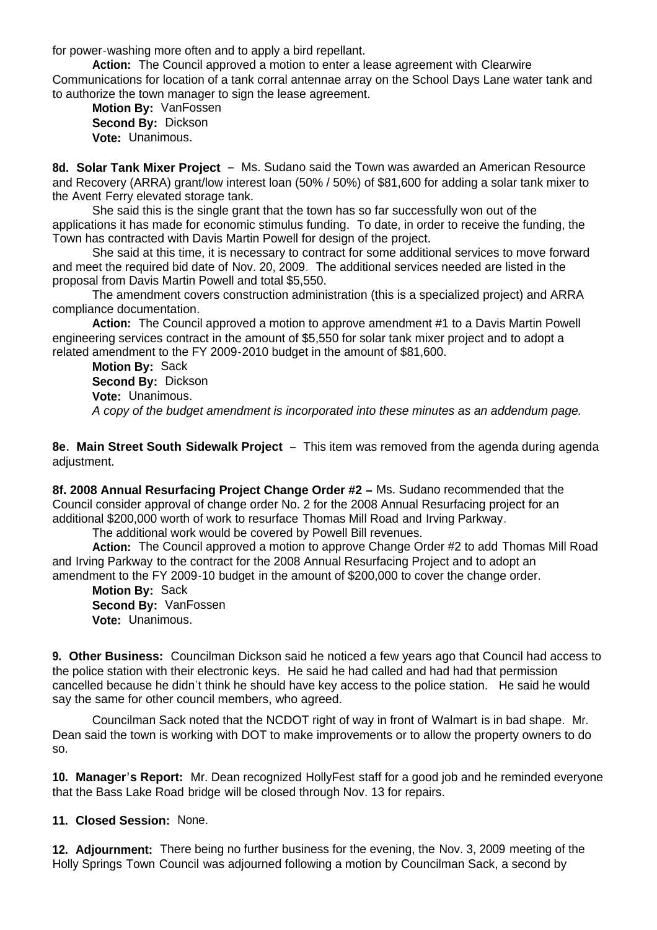for power-washing more often and to apply a bird repellant.

 **Action:** The Council approved a motion to enter a lease agreement with Clearwire Communications for location of a tank corral antennae array on the School Days Lane water tank and to authorize the town manager to sign the lease agreement.

**Motion By:** VanFossen **Second By:** Dickson **Vote:** Unanimous.

**8d. Solar Tank Mixer Project** – Ms. Sudano said the Town was awarded an American Resource and Recovery (ARRA) grant/low interest loan (50% / 50%) of \$81,600 for adding a solar tank mixer to the Avent Ferry elevated storage tank.

 She said this is the single grant that the town has so far successfully won out of the applications it has made for economic stimulus funding. To date, in order to receive the funding, the Town has contracted with Davis Martin Powell for design of the project.

 She said at this time, it is necessary to contract for some additional services to move forward and meet the required bid date of Nov. 20, 2009. The additional services needed are listed in the proposal from Davis Martin Powell and total \$5,550.

 The amendment covers construction administration (this is a specialized project) and ARRA compliance documentation.

 **Action:** The Council approved a motion to approve amendment #1 to a Davis Martin Powell engineering services contract in the amount of \$5,550 for solar tank mixer project and to adopt a related amendment to the FY 2009-2010 budget in the amount of \$81,600.

**Motion By:** Sack **Second By:** Dickson **Vote:** Unanimous. *A copy of the budget amendment is incorporated into these minutes as an addendum page.*

**8e. Main Street South Sidewalk Project** – This item was removed from the agenda during agenda adiustment.

**8f. 2008 Annual Resurfacing Project Change Order #2 –** Ms. Sudano recommended that the Council consider approval of change order No. 2 for the 2008 Annual Resurfacing project for an additional \$200,000 worth of work to resurface Thomas Mill Road and Irving Parkway.

The additional work would be covered by Powell Bill revenues.

**Action:** The Council approved a motion to approve Change Order #2 to add Thomas Mill Road and Irving Parkway to the contract for the 2008 Annual Resurfacing Project and to adopt an amendment to the FY 2009-10 budget in the amount of \$200,000 to cover the change order.

**Motion By:** Sack **Second By:** VanFossen **Vote:** Unanimous.

**9. Other Business:** Councilman Dickson said he noticed a few years ago that Council had access to the police station with their electronic keys. He said he had called and had had that permission cancelled because he didn't think he should have key access to the police station. He said he would say the same for other council members, who agreed.

Councilman Sack noted that the NCDOT right of way in front of Walmart is in bad shape. Mr. Dean said the town is working with DOT to make improvements or to allow the property owners to do so.

**10. Manager's Report:** Mr. Dean recognized HollyFest staff for a good job and he reminded everyone that the Bass Lake Road bridge will be closed through Nov. 13 for repairs.

**11. Closed Session:** None.

**12. Adjournment:** There being no further business for the evening, the Nov. 3, 2009 meeting of the Holly Springs Town Council was adjourned following a motion by Councilman Sack, a second by